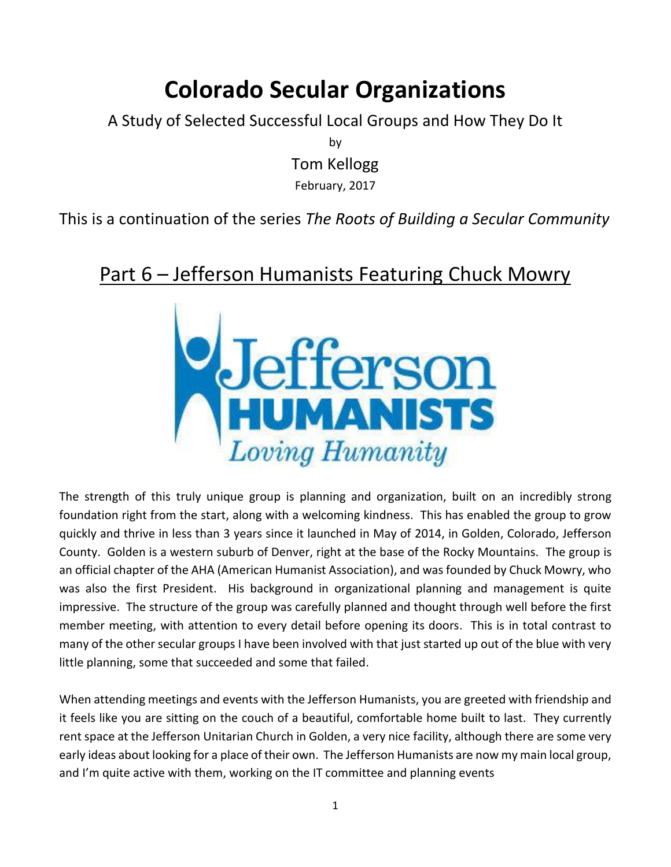# **Colorado Secular Organizations**

A Study of Selected Successful Local Groups and How They Do It

by Tom Kellogg February, 2017

This is a continuation of the series *The Roots of Building a Secular Community*

## Part 6 – Jefferson Humanists Featuring Chuck Mowry



The strength of this truly unique group is planning and organization, built on an incredibly strong foundation right from the start, along with a welcoming kindness. This has enabled the group to grow quickly and thrive in less than 3 years since it launched in May of 2014, in Golden, Colorado, Jefferson County. Golden is a western suburb of Denver, right at the base of the Rocky Mountains. The group is an official chapter of the AHA (American Humanist Association), and was founded by Chuck Mowry, who was also the first President. His background in organizational planning and management is quite impressive. The structure of the group was carefully planned and thought through well before the first member meeting, with attention to every detail before opening its doors. This is in total contrast to many of the other secular groups I have been involved with that just started up out of the blue with very little planning, some that succeeded and some that failed.

When attending meetings and events with the Jefferson Humanists, you are greeted with friendship and it feels like you are sitting on the couch of a beautiful, comfortable home built to last. They currently rent space at the Jefferson Unitarian Church in Golden, a very nice facility, although there are some very early ideas about looking for a place of their own. The Jefferson Humanists are now my main local group, and I'm quite active with them, working on the IT committee and planning events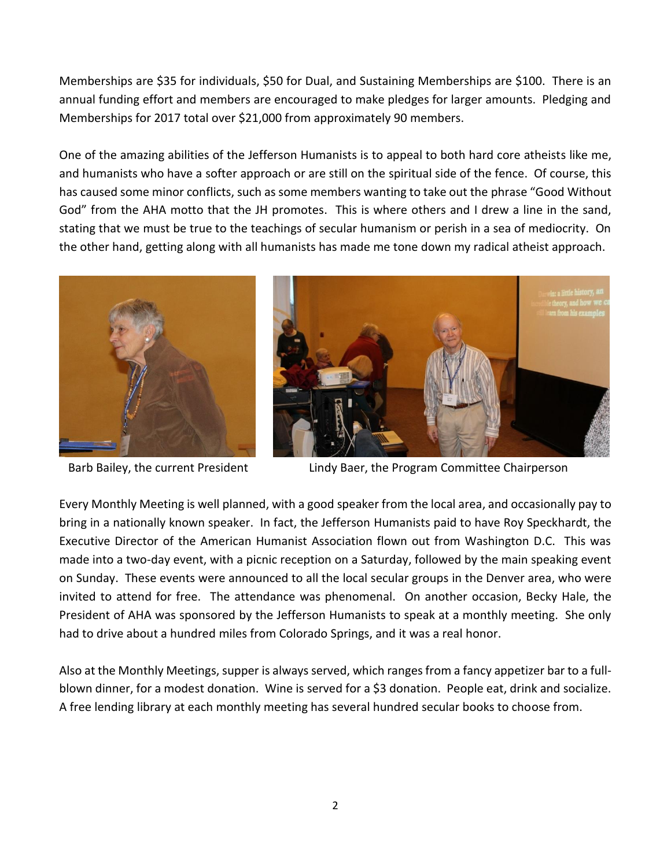Memberships are \$35 for individuals, \$50 for Dual, and Sustaining Memberships are \$100. There is an annual funding effort and members are encouraged to make pledges for larger amounts. Pledging and Memberships for 2017 total over \$21,000 from approximately 90 members.

One of the amazing abilities of the Jefferson Humanists is to appeal to both hard core atheists like me, and humanists who have a softer approach or are still on the spiritual side of the fence. Of course, this has caused some minor conflicts, such as some members wanting to take out the phrase "Good Without God" from the AHA motto that the JH promotes. This is where others and I drew a line in the sand, stating that we must be true to the teachings of secular humanism or perish in a sea of mediocrity. On the other hand, getting along with all humanists has made me tone down my radical atheist approach.





Barb Bailey, the current President Lindy Baer, the Program Committee Chairperson

Every Monthly Meeting is well planned, with a good speaker from the local area, and occasionally pay to bring in a nationally known speaker. In fact, the Jefferson Humanists paid to have Roy Speckhardt, the Executive Director of the American Humanist Association flown out from Washington D.C. This was made into a two-day event, with a picnic reception on a Saturday, followed by the main speaking event on Sunday. These events were announced to all the local secular groups in the Denver area, who were invited to attend for free. The attendance was phenomenal. On another occasion, Becky Hale, the President of AHA was sponsored by the Jefferson Humanists to speak at a monthly meeting. She only had to drive about a hundred miles from Colorado Springs, and it was a real honor.

Also at the Monthly Meetings, supper is always served, which ranges from a fancy appetizer bar to a fullblown dinner, for a modest donation. Wine is served for a \$3 donation. People eat, drink and socialize. A free lending library at each monthly meeting has several hundred secular books to choose from.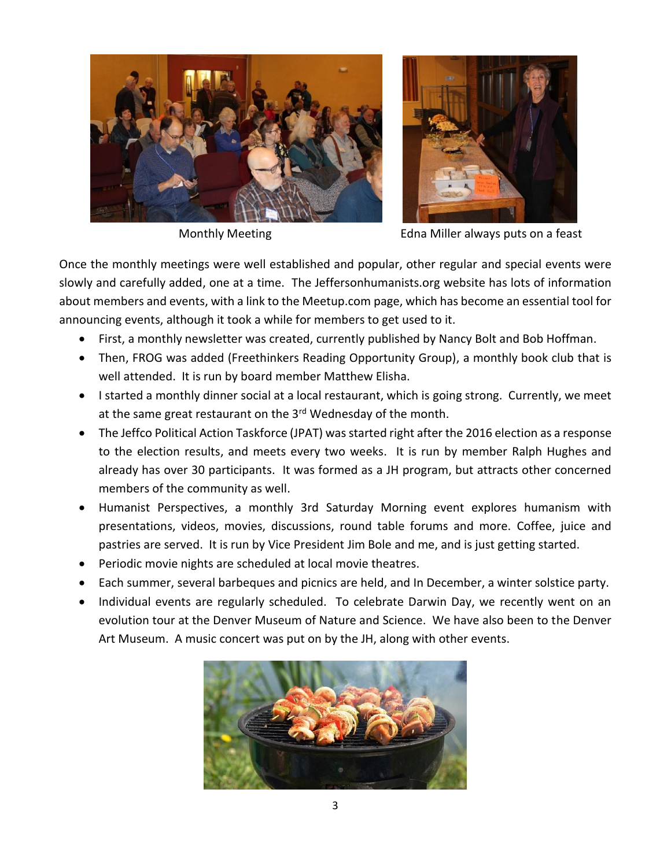

Monthly Meeting The Edna Miller always puts on a feast

Once the monthly meetings were well established and popular, other regular and special events were slowly and carefully added, one at a time. The Jeffersonhumanists.org website has lots of information about members and events, with a link to the Meetup.com page, which has become an essential tool for announcing events, although it took a while for members to get used to it.

- First, a monthly newsletter was created, currently published by Nancy Bolt and Bob Hoffman.
- Then, FROG was added (Freethinkers Reading Opportunity Group), a monthly book club that is well attended. It is run by board member Matthew Elisha.
- I started a monthly dinner social at a local restaurant, which is going strong. Currently, we meet at the same great restaurant on the 3<sup>rd</sup> Wednesday of the month.
- The Jeffco Political Action Taskforce (JPAT) was started right after the 2016 election as a response to the election results, and meets every two weeks. It is run by member Ralph Hughes and already has over 30 participants. It was formed as a JH program, but attracts other concerned members of the community as well.
- Humanist Perspectives, a monthly 3rd Saturday Morning event explores humanism with presentations, videos, movies, discussions, round table forums and more. Coffee, juice and pastries are served. It is run by Vice President Jim Bole and me, and is just getting started.
- Periodic movie nights are scheduled at local movie theatres.
- Each summer, several barbeques and picnics are held, and In December, a winter solstice party.
- Individual events are regularly scheduled. To celebrate Darwin Day, we recently went on an evolution tour at the Denver Museum of Nature and Science. We have also been to the Denver Art Museum. A music concert was put on by the JH, along with other events.

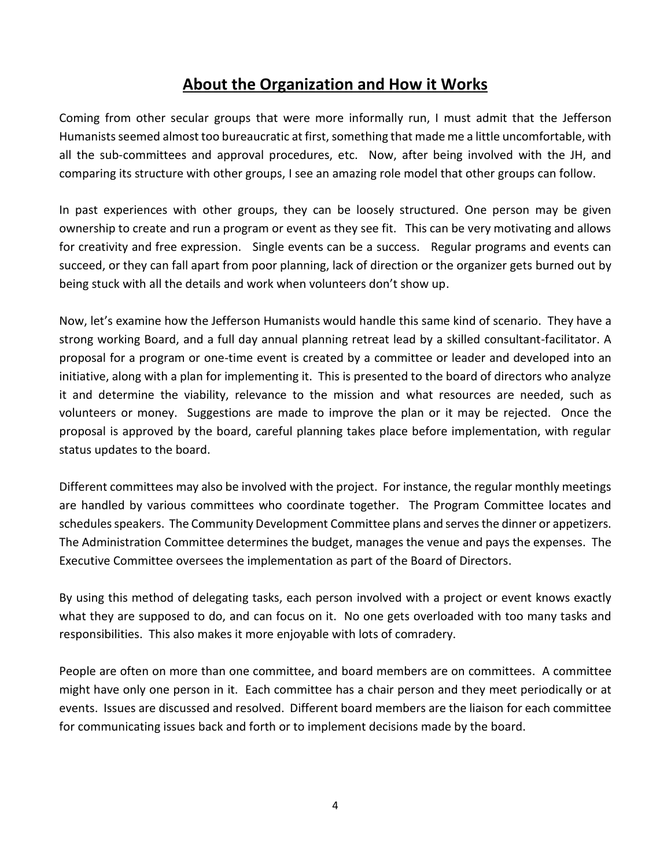#### **About the Organization and How it Works**

Coming from other secular groups that were more informally run, I must admit that the Jefferson Humanistsseemed almost too bureaucratic at first, something that made me a little uncomfortable, with all the sub-committees and approval procedures, etc. Now, after being involved with the JH, and comparing its structure with other groups, I see an amazing role model that other groups can follow.

In past experiences with other groups, they can be loosely structured. One person may be given ownership to create and run a program or event as they see fit. This can be very motivating and allows for creativity and free expression. Single events can be a success. Regular programs and events can succeed, or they can fall apart from poor planning, lack of direction or the organizer gets burned out by being stuck with all the details and work when volunteers don't show up.

Now, let's examine how the Jefferson Humanists would handle this same kind of scenario. They have a strong working Board, and a full day annual planning retreat lead by a skilled consultant-facilitator. A proposal for a program or one-time event is created by a committee or leader and developed into an initiative, along with a plan for implementing it. This is presented to the board of directors who analyze it and determine the viability, relevance to the mission and what resources are needed, such as volunteers or money. Suggestions are made to improve the plan or it may be rejected. Once the proposal is approved by the board, careful planning takes place before implementation, with regular status updates to the board.

Different committees may also be involved with the project. For instance, the regular monthly meetings are handled by various committees who coordinate together. The Program Committee locates and schedules speakers. The Community Development Committee plans and serves the dinner or appetizers. The Administration Committee determines the budget, manages the venue and pays the expenses. The Executive Committee oversees the implementation as part of the Board of Directors.

By using this method of delegating tasks, each person involved with a project or event knows exactly what they are supposed to do, and can focus on it. No one gets overloaded with too many tasks and responsibilities. This also makes it more enjoyable with lots of comradery.

People are often on more than one committee, and board members are on committees. A committee might have only one person in it. Each committee has a chair person and they meet periodically or at events. Issues are discussed and resolved. Different board members are the liaison for each committee for communicating issues back and forth or to implement decisions made by the board.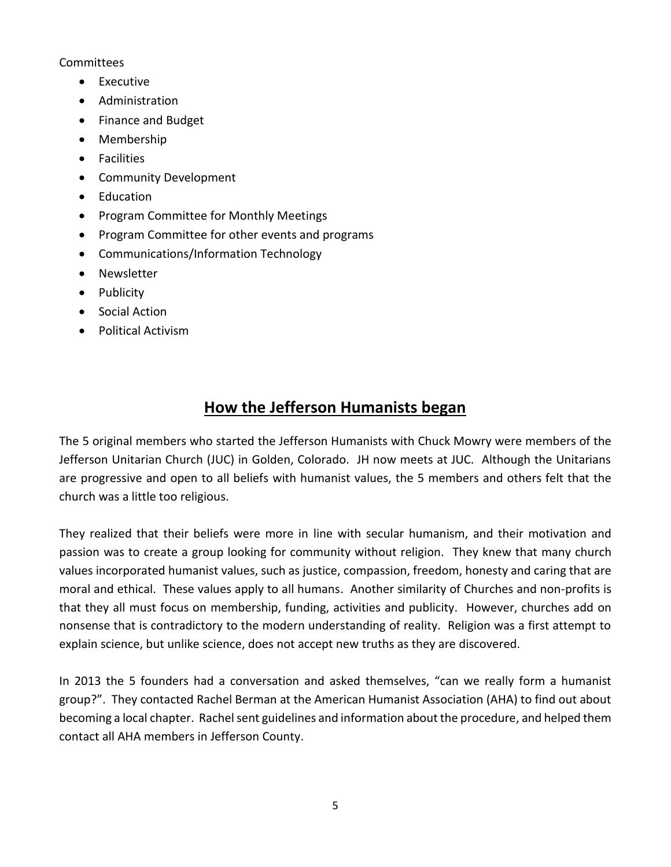#### **Committees**

- Executive
- Administration
- Finance and Budget
- Membership
- Facilities
- Community Development
- Education
- Program Committee for Monthly Meetings
- Program Committee for other events and programs
- Communications/Information Technology
- Newsletter
- Publicity
- Social Action
- Political Activism

### **How the Jefferson Humanists began**

The 5 original members who started the Jefferson Humanists with Chuck Mowry were members of the Jefferson Unitarian Church (JUC) in Golden, Colorado. JH now meets at JUC. Although the Unitarians are progressive and open to all beliefs with humanist values, the 5 members and others felt that the church was a little too religious.

They realized that their beliefs were more in line with secular humanism, and their motivation and passion was to create a group looking for community without religion. They knew that many church values incorporated humanist values, such as justice, compassion, freedom, honesty and caring that are moral and ethical. These values apply to all humans. Another similarity of Churches and non-profits is that they all must focus on membership, funding, activities and publicity. However, churches add on nonsense that is contradictory to the modern understanding of reality. Religion was a first attempt to explain science, but unlike science, does not accept new truths as they are discovered.

In 2013 the 5 founders had a conversation and asked themselves, "can we really form a humanist group?". They contacted Rachel Berman at the American Humanist Association (AHA) to find out about becoming a local chapter. Rachel sent guidelines and information about the procedure, and helped them contact all AHA members in Jefferson County.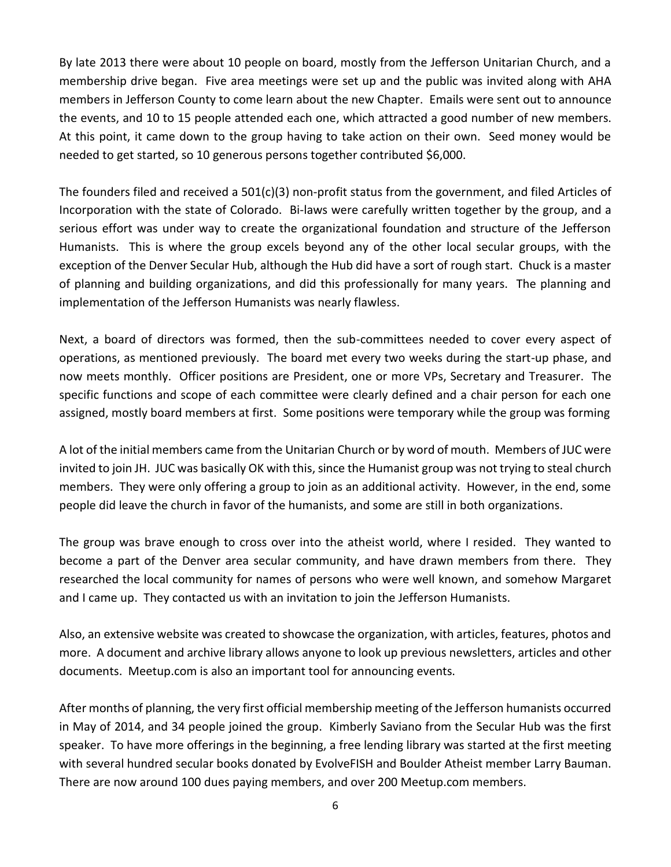By late 2013 there were about 10 people on board, mostly from the Jefferson Unitarian Church, and a membership drive began. Five area meetings were set up and the public was invited along with AHA members in Jefferson County to come learn about the new Chapter. Emails were sent out to announce the events, and 10 to 15 people attended each one, which attracted a good number of new members. At this point, it came down to the group having to take action on their own. Seed money would be needed to get started, so 10 generous persons together contributed \$6,000.

The founders filed and received a 501(c)(3) non-profit status from the government, and filed Articles of Incorporation with the state of Colorado. Bi-laws were carefully written together by the group, and a serious effort was under way to create the organizational foundation and structure of the Jefferson Humanists. This is where the group excels beyond any of the other local secular groups, with the exception of the Denver Secular Hub, although the Hub did have a sort of rough start. Chuck is a master of planning and building organizations, and did this professionally for many years. The planning and implementation of the Jefferson Humanists was nearly flawless.

Next, a board of directors was formed, then the sub-committees needed to cover every aspect of operations, as mentioned previously. The board met every two weeks during the start-up phase, and now meets monthly. Officer positions are President, one or more VPs, Secretary and Treasurer. The specific functions and scope of each committee were clearly defined and a chair person for each one assigned, mostly board members at first. Some positions were temporary while the group was forming

A lot of the initial members came from the Unitarian Church or by word of mouth. Members of JUC were invited to join JH. JUC was basically OK with this, since the Humanist group was not trying to steal church members. They were only offering a group to join as an additional activity. However, in the end, some people did leave the church in favor of the humanists, and some are still in both organizations.

The group was brave enough to cross over into the atheist world, where I resided. They wanted to become a part of the Denver area secular community, and have drawn members from there. They researched the local community for names of persons who were well known, and somehow Margaret and I came up. They contacted us with an invitation to join the Jefferson Humanists.

Also, an extensive website was created to showcase the organization, with articles, features, photos and more. A document and archive library allows anyone to look up previous newsletters, articles and other documents. Meetup.com is also an important tool for announcing events.

After months of planning, the very first official membership meeting of the Jefferson humanists occurred in May of 2014, and 34 people joined the group. Kimberly Saviano from the Secular Hub was the first speaker. To have more offerings in the beginning, a free lending library was started at the first meeting with several hundred secular books donated by EvolveFISH and Boulder Atheist member Larry Bauman. There are now around 100 dues paying members, and over 200 Meetup.com members.